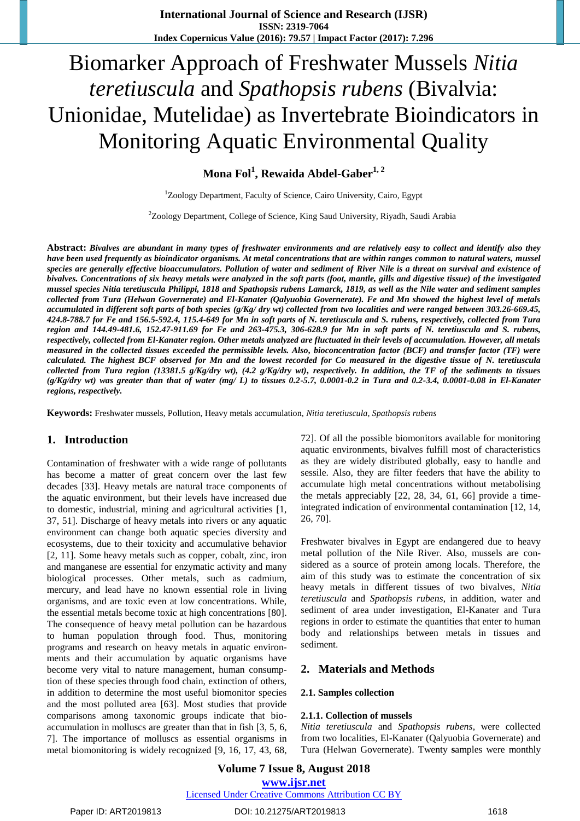# Biomarker Approach of Freshwater Mussels *Nitia teretiuscula* and *Spathopsis rubens* (Bivalvia: Unionidae, Mutelidae) as Invertebrate Bioindicators in Monitoring Aquatic Environmental Quality

**Mona Fol<sup>1</sup> , Rewaida Abdel-Gaber1, <sup>2</sup>**

 $1$ Zoology Department, Faculty of Science, Cairo University, Cairo, Egypt

<sup>2</sup>Zoology Department, College of Science, King Saud University, Riyadh, Saudi Arabia

**Abstract:** *Bivalves are abundant in many types of freshwater environments and are relatively easy to collect and identify also they have been used frequently as bioindicator organisms. At metal concentrations that are within ranges common to natural waters, mussel species are generally effective bioaccumulators. Pollution of water and sediment of River Nile is a threat on survival and existence of bivalves. Concentrations of six heavy metals were analyzed in the soft parts (foot, mantle, gills and digestive tissue) of the investigated mussel species Nitia teretiuscula Philippi, 1818 and Spathopsis rubens Lamarck, 1819, as well as the Nile water and sediment samples collected from Tura (Helwan Governerate) and El-Kanater (Qalyuobia Governerate). Fe and Mn showed the highest level of metals accumulated in different soft parts of both species (g/Kg/ dry wt) collected from two localities and were ranged between 303.26-669.45, 424.8-788.7 for Fe and 156.5-592.4, 115.4-649 for Mn in soft parts of N. teretiuscula and S. rubens, respectively, collected from Tura region and 144.49-481.6, 152.47-911.69 for Fe and 263-475.3, 306-628.9 for Mn in soft parts of N. teretiuscula and S. rubens, respectively, collected from El-Kanater region. Other metals analyzed are fluctuated in their levels of accumulation. However, all metals measured in the collected tissues exceeded the permissible levels. Also, bioconcentration factor (BCF) and transfer factor (TF) were calculated. The highest BCF observed for Mn and the lowest recorded for Co measured in the digestive tissue of N. teretiuscula collected from Tura region (13381.5 g/Kg/dry wt), (4.2 g/Kg/dry wt), respectively. In addition, the TF of the sediments to tissues (g/Kg/dry wt) was greater than that of water (mg/ L) to tissues 0.2-5.7, 0.0001-0.2 in Tura and 0.2-3.4, 0.0001-0.08 in El-Kanater regions, respectively.*

**Keywords:** Freshwater mussels, Pollution, Heavy metals accumulation, *Nitia teretiuscula*, *Spathopsis rubens*

## **1. Introduction**

Contamination of freshwater with a wide range of pollutants has become a matter of great concern over the last few decades [33]. Heavy metals are natural trace components of the aquatic environment, but their levels have increased due to domestic, industrial, mining and agricultural activities [1, 37, 51]. Discharge of heavy metals into rivers or any aquatic environment can change both aquatic species diversity and ecosystems, due to their toxicity and accumulative behavior [2, 11]. Some heavy metals such as copper, cobalt, zinc, iron and manganese are essential for enzymatic activity and many biological processes. Other metals, such as cadmium, mercury, and lead have no known essential role in living organisms, and are toxic even at low concentrations. While, the essential metals become toxic at high concentrations [80]. The consequence of heavy metal pollution can be hazardous to human population through food. Thus, monitoring programs and research on heavy metals in aquatic environments and their accumulation by aquatic organisms have become very vital to nature management, human consumption of these species through food chain, extinction of others, in addition to determine the most useful biomonitor species and the most polluted area [63]. Most studies that provide comparisons among taxonomic groups indicate that bioaccumulation in molluscs are greater than that in fish [3, 5, 6, 7]. The importance of molluscs as essential organisms in metal biomonitoring is widely recognized [9, 16, 17, 43, 68,

72]. Of all the possible biomonitors available for monitoring aquatic environments, bivalves fulfill most of characteristics as they are widely distributed globally, easy to handle and sessile. Also, they are filter feeders that have the ability to accumulate high metal concentrations without metabolising the metals appreciably [22, 28, 34, 61, 66] provide a timeintegrated indication of environmental contamination [12, 14, 26, 70].

Freshwater bivalves in Egypt are endangered due to heavy metal pollution of the Nile River. Also, mussels are considered as a source of protein among locals. Therefore, the aim of this study was to estimate the concentration of six heavy metals in different tissues of two bivalves, *Nitia teretiuscula* and *Spathopsis rubens*, in addition, water and sediment of area under investigation, El-Kanater and Tura regions in order to estimate the quantities that enter to human body and relationships between metals in tissues and sediment.

## **2. Materials and Methods**

#### **2.1. Samples collection**

#### **2.1.1. Collection of mussels**

*Nitia teretiuscula* and *Spathopsis rubens*, were collected from two localities, El-Kanater (Qalyuobia Governerate) and Tura (Helwan Governerate). Twenty **s**amples were monthly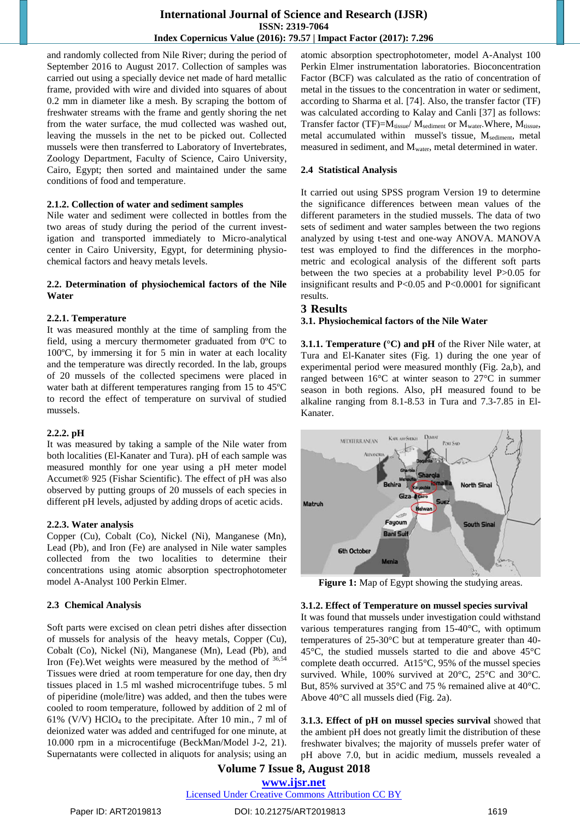and randomly collected from Nile River; during the period of September 2016 to August 2017. Collection of samples was carried out using a specially device net made of hard metallic frame, provided with wire and divided into squares of about 0.2 mm in diameter like a mesh. By scraping the bottom of freshwater streams with the frame and gently shoring the net from the water surface, the mud collected was washed out, leaving the mussels in the net to be picked out. Collected mussels were then transferred to Laboratory of Invertebrates, Zoology Department, Faculty of Science, Cairo University, Cairo, Egypt; then sorted and maintained under the same conditions of food and temperature.

#### **2.1.2. Collection of water and sediment samples**

Nile water and sediment were collected in bottles from the two areas of study during the period of the current investigation and transported immediately to Micro-analytical center in Cairo University, Egypt, for determining physiochemical factors and heavy metals levels.

#### **2.2. Determination of physiochemical factors of the Nile Water**

#### **2.2.1. Temperature**

It was measured monthly at the time of sampling from the field, using a mercury thermometer graduated from 0ºC to 100ºC, by immersing it for 5 min in water at each locality and the temperature was directly recorded. In the lab, groups of 20 mussels of the collected specimens were placed in water bath at different temperatures ranging from 15 to 45ºC to record the effect of temperature on survival of studied mussels.

## **2.2.2. pH**

It was measured by taking a sample of the Nile water from both localities (El-Kanater and Tura). pH of each sample was measured monthly for one year using a pH meter model Accumet® 925 (Fishar Scientific). The effect of pH was also observed by putting groups of 20 mussels of each species in different pH levels, adjusted by adding drops of acetic acids.

## **2.2.3. Water analysis**

Copper (Cu), Cobalt (Co), Nickel (Ni), Manganese (Mn), Lead (Pb), and Iron (Fe) are analysed in Nile water samples collected from the two localities to determine their concentrations using atomic absorption spectrophotometer model A-Analyst 100 Perkin Elmer.

## **2.3 Chemical Analysis**

Soft parts were excised on clean petri dishes after dissection of mussels for analysis of the heavy metals, Copper (Cu), Cobalt (Co), Nickel (Ni), Manganese (Mn), Lead (Pb), and Iron (Fe). Wet weights were measured by the method of  $36,54$ Tissues were dried at room temperature for one day, then dry tissues placed in 1.5 ml washed microcentrifuge tubes. 5 ml of piperidine (mole/litre) was added, and then the tubes were cooled to room temperature, followed by addition of 2 ml of 61% (V/V)  $HClO<sub>4</sub>$  to the precipitate. After 10 min., 7 ml of deionized water was added and centrifuged for one minute, at 10.000 rpm in a microcentifuge (BeckMan/Model J-2, 21). Supernatants were collected in aliquots for analysis; using an

atomic absorption spectrophotometer, model A-Analyst 100 Perkin Elmer instrumentation laboratories. Bioconcentration Factor (BCF) was calculated as the ratio of concentration of metal in the tissues to the concentration in water or sediment, according to Sharma et al. [74]. Also, the transfer factor (TF) was calculated according to Kalay and Canli [37] as follows: Transfer factor (TF)= $M_{tissue}$ /  $M_{sediment}$  or  $M_{water}$ . Where,  $M_{tissue}$ , metal accumulated within mussel's tissue, M<sub>sediment</sub>, metal measured in sediment, and  $M_{water}$ , metal determined in water.

#### **2.4 Statistical Analysis**

It carried out using SPSS program Version 19 to determine the significance differences between mean values of the different parameters in the studied mussels. The data of two sets of sediment and water samples between the two regions analyzed by using t-test and one-way ANOVA. MANOVA test was employed to find the differences in the morphometric and ecological analysis of the different soft parts between the two species at a probability level P>0.05 for insignificant results and P<0.05 and P<0.0001 for significant results.

## **3 Results**

## **3.1. Physiochemical factors of the Nile Water**

**3.1.1. Temperature (°C) and pH** of the River Nile water, at Tura and El-Kanater sites (Fig. 1) during the one year of experimental period were measured monthly (Fig. 2a,b), and ranged between 16°C at winter season to 27°C in summer season in both regions. Also, pH measured found to be alkaline ranging from 8.1-8.53 in Tura and 7.3-7.85 in El-Kanater.



**Figure 1:** Map of Egypt showing the studying areas.

## **3.1.2. Effect of Temperature on mussel species survival**

It was found that mussels under investigation could withstand various temperatures ranging from 15-40°C, with optimum temperatures of 25-30°C but at temperature greater than 40- 45°C, the studied mussels started to die and above 45°C complete death occurred. At15°C, 95% of the mussel species survived. While, 100% survived at 20°C, 25°C and 30°C. But, 85% survived at 35°C and 75 % remained alive at 40°C. Above 40°C all mussels died (Fig. 2a).

**3.1.3. Effect of pH on mussel species survival** showed that the ambient pH does not greatly limit the distribution of these freshwater bivalves; the majority of mussels prefer water of pH above 7.0, but in acidic medium, mussels revealed a

## **Volume 7 Issue 8, August 2018**

**www.ijsr.net** Licensed Under Creative Commons Attribution CC BY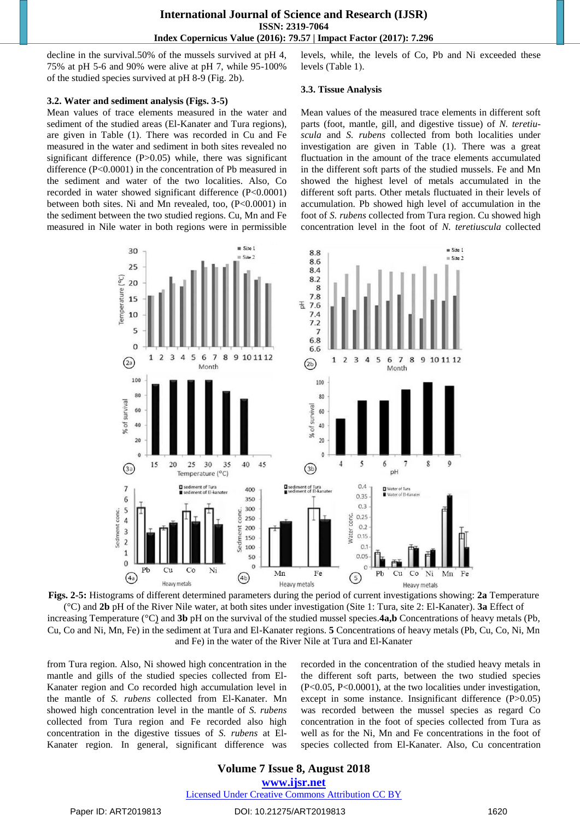decline in the survival.50% of the mussels survived at pH 4, 75% at pH 5-6 and 90% were alive at pH 7, while 95-100% of the studied species survived at pH 8-9 (Fig. 2b).

#### **3.2. Water and sediment analysis (Figs. 3-5)**

Mean values of trace elements measured in the water and sediment of the studied areas (El-Kanater and Tura regions), are given in Table (1). There was recorded in Cu and Fe measured in the water and sediment in both sites revealed no significant difference  $(P>0.05)$  while, there was significant difference (P<0.0001) in the concentration of Pb measured in the sediment and water of the two localities. Also, Co recorded in water showed significant difference (P<0.0001) between both sites. Ni and Mn revealed, too, (P<0.0001) in the sediment between the two studied regions. Cu, Mn and Fe measured in Nile water in both regions were in permissible

levels, while, the levels of Co, Pb and Ni exceeded these levels (Table 1).

#### **3.3. Tissue Analysis**

Mean values of the measured trace elements in different soft parts (foot, mantle, gill, and digestive tissue) of *N. teretiuscula* and *S. rubens* collected from both localities under investigation are given in Table (1). There was a great fluctuation in the amount of the trace elements accumulated in the different soft parts of the studied mussels. Fe and Mn showed the highest level of metals accumulated in the different soft parts. Other metals fluctuated in their levels of accumulation. Pb showed high level of accumulation in the foot of *S. rubens* collected from Tura region. Cu showed high concentration level in the foot of *N. teretiuscula* collected



**Figs. 2-5:** Histograms of different determined parameters during the period of current investigations showing: **2a** Temperature

(°C) and **2b** pH of the River Nile water, at both sites under investigation (Site 1: Tura, site 2: El-Kanater). **3a** Effect of increasing Temperature (°C) and **3b** pH on the survival of the studied mussel species.**4a,b** Concentrations of heavy metals (Pb, Cu, Co and Ni, Mn, Fe) in the sediment at Tura and El-Kanater regions. **5** Concentrations of heavy metals (Pb, Cu, Co, Ni, Mn and Fe) in the water of the River Nile at Tura and El-Kanater

from Tura region. Also, Ni showed high concentration in the mantle and gills of the studied species collected from El-Kanater region and Co recorded high accumulation level in the mantle of *S. rubens* collected from El-Kanater. Mn showed high concentration level in the mantle of *S. rubens*  collected from Tura region and Fe recorded also high concentration in the digestive tissues of *S. rubens* at El-Kanater region. In general, significant difference was

recorded in the concentration of the studied heavy metals in the different soft parts, between the two studied species (P<0.05, P<0.0001), at the two localities under investigation, except in some instance. Insignificant difference (P>0.05) was recorded between the mussel species as regard Co concentration in the foot of species collected from Tura as well as for the Ni, Mn and Fe concentrations in the foot of species collected from El-Kanater. Also, Cu concentration

## **Volume 7 Issue 8, August 2018**

**www.ijsr.net**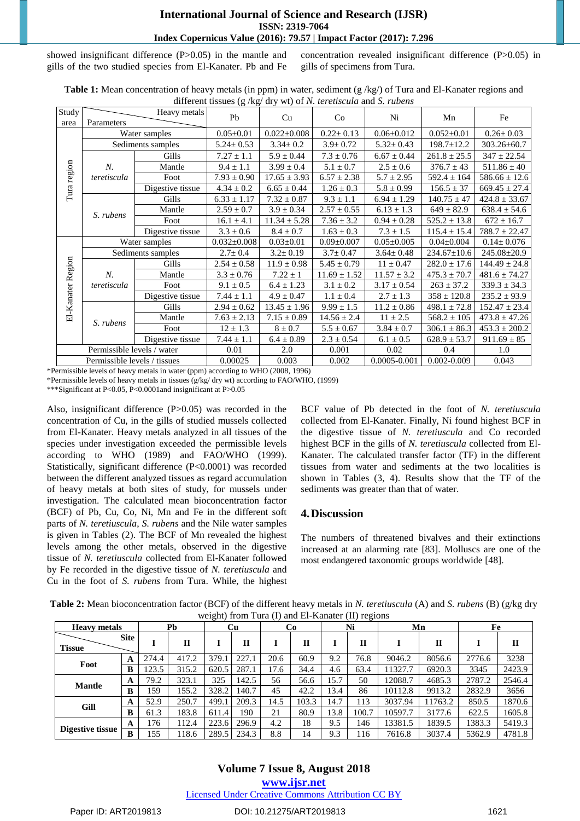showed insignificant difference (P>0.05) in the mantle and gills of the two studied species from El-Kanater. Pb and Fe concentration revealed insignificant difference (P>0.05) in gills of specimens from Tura.

|                              | $\mu$ and $\mu$ and $\mu$ and $\mu$ and $\mu$ and $\mu$ and $\mu$ and $\mu$ and $\mu$ . |                   |                   |                   |                  |                  |                  |                   |  |  |
|------------------------------|-----------------------------------------------------------------------------------------|-------------------|-------------------|-------------------|------------------|------------------|------------------|-------------------|--|--|
| Study                        |                                                                                         | Heavy metals      | Pb                | Cu                | Co               | Ni               | Mn               | Fe                |  |  |
| area                         | Parameters                                                                              |                   |                   |                   |                  |                  |                  |                   |  |  |
|                              |                                                                                         | Water samples     | $0.05 \pm 0.01$   | $0.022 \pm 0.008$ | $0.22 \pm 0.13$  | $0.06 \pm 0.012$ | $0.052 \pm 0.01$ | $0.26 \pm 0.03$   |  |  |
|                              |                                                                                         | Sediments samples | $5.24 \pm 0.53$   | $3.34 \pm 0.2$    | $3.9 \pm 0.72$   | $5.32 \pm 0.43$  | $198.7 \pm 12.2$ | 303.26±60.7       |  |  |
|                              | N.<br>teretiscula                                                                       | Gills             | $7.27 \pm 1.1$    | $5.9 \pm 0.44$    | $7.3 \pm 0.76$   | $6.67 \pm 0.44$  | $261.8 \pm 25.5$ | $347 \pm 22.54$   |  |  |
|                              |                                                                                         | Mantle            | $9.4 \pm 1.1$     | $3.99 \pm 0.4$    | $5.1 \pm 0.7$    | $2.5 \pm 0.6$    | $376.7 \pm 43$   | $511.86 \pm 40$   |  |  |
|                              |                                                                                         | Foot              | $7.93 \pm 0.90$   | $17.65 \pm 3.93$  | $6.57 \pm 2.38$  | $5.7 \pm 2.95$   | $592.4 \pm 164$  | $586.66 \pm 12.6$ |  |  |
| Tura region                  |                                                                                         | Digestive tissue  | $4.34 \pm 0.2$    | $6.65 \pm 0.44$   | $1.26 \pm 0.3$   | $5.8 \pm 0.99$   | $156.5 \pm 37$   | $669.45 \pm 27.4$ |  |  |
|                              | S. rubens                                                                               | Gills             | $6.33 \pm 1.17$   | $7.32 \pm 0.87$   | $9.3 \pm 1.1$    | $6.94 \pm 1.29$  | $140.75 \pm 47$  | $424.8 \pm 33.67$ |  |  |
|                              |                                                                                         | Mantle            | $2.59 \pm 0.7$    | $3.9 \pm 0.34$    | $2.57 \pm 0.55$  | $6.13 \pm 1.3$   | $649 \pm 82.9$   | $638.4 \pm 54.6$  |  |  |
|                              |                                                                                         | Foot              | $16.1 \pm 4.1$    | $11.34 \pm 5.28$  | $7.36 \pm 3.2$   | $0.94 \pm 0.28$  | $525.2 \pm 13.8$ | $672 \pm 16.7$    |  |  |
|                              |                                                                                         | Digestive tissue  | $3.3 \pm 0.6$     | $8.4 \pm 0.7$     | $1.63 \pm 0.3$   | $7.3 \pm 1.5$    | $115.4 \pm 15.4$ | $788.7 \pm 22.47$ |  |  |
| El-Kanater Region            |                                                                                         | Water samples     | $0.032 \pm 0.008$ | $0.03 \pm 0.01$   | $0.09 \pm 0.007$ | $0.05 \pm 0.005$ | $0.04 \pm 0.004$ | $0.14 \pm 0.076$  |  |  |
|                              |                                                                                         | Sediments samples | $2.7 \pm 0.4$     | $3.2 \pm 0.19$    | $3.7 \pm 0.47$   | $3.64 \pm 0.48$  | 234.67±10.6      | 245.08±20.9       |  |  |
|                              | N.<br>teretiscula                                                                       | Gills             | $2.54 \pm 0.58$   | $11.9 \pm 0.98$   | $5.45 \pm 0.79$  | $11 \pm 0.47$    | $282.0 \pm 17.6$ | $144.49 \pm 24.8$ |  |  |
|                              |                                                                                         | Mantle            | $3.3 \pm 0.76$    | $7.22 \pm 1$      | $11.69 \pm 1.52$ | $11.57 \pm 3.2$  | $475.3 \pm 70.7$ | $481.6 \pm 74.27$ |  |  |
|                              |                                                                                         | Foot              | $9.1 \pm 0.5$     | $6.4 \pm 1.23$    | $3.1 \pm 0.2$    | $3.17 \pm 0.54$  | $263 \pm 37.2$   | $339.3 \pm 34.3$  |  |  |
|                              |                                                                                         | Digestive tissue  | $7.44 \pm 1.1$    | $4.9 \pm 0.47$    | $1.1 \pm 0.4$    | $2.7 \pm 1.3$    | $358 \pm 120.8$  | $235.2 \pm 93.9$  |  |  |
|                              | S. rubens                                                                               | Gills             | $2.94 \pm 0.62$   | $13.45 \pm 1.96$  | $9.99 \pm 1.5$   | $11.2 \pm 0.86$  | $498.1 \pm 72.8$ | $152.47 \pm 23.4$ |  |  |
|                              |                                                                                         | Mantle            | $7.63 \pm 2.13$   | $7.15 \pm 0.89$   | $14.56 \pm 2.4$  | $11 \pm 2.5$     | $568.2 \pm 105$  | $473.8 \pm 47.26$ |  |  |
|                              |                                                                                         | Foot              | $12 \pm 1.3$      | $8 \pm 0.7$       | $5.5 \pm 0.67$   | $3.84 \pm 0.7$   | $306.1 \pm 86.3$ | $453.3 \pm 200.2$ |  |  |
|                              |                                                                                         | Digestive tissue  | $7.44 \pm 1.1$    | $6.4 \pm 0.89$    | $2.3 \pm 0.54$   | $6.1 \pm 0.5$    | $628.9 \pm 53.7$ | $911.69 \pm 85$   |  |  |
|                              | Permissible levels / water                                                              |                   | 0.01              | 2.0               | 0.001            | 0.02             | 0.4              | 1.0               |  |  |
| Permissible levels / tissues |                                                                                         |                   | 0.00025           | 0.003             | 0.002            | 0.0005-0.001     | $0.002 - 0.009$  | 0.043             |  |  |

**Table 1:** Mean concentration of heavy metals (in ppm) in water, sediment (g /kg/) of Tura and El-Kanater regions and different tissues (g /kg/ dry wt) of *N. teretiscula* and *S. rubens*

\*Permissible levels of heavy metals in water (ppm) according to WHO (2008, 1996)

\*Permissible levels of heavy metals in tissues (g/kg/ dry wt) according to FAO/WHO, (1999)

\*\*\*Significant at P<0.05, P<0.0001and insignificant at P>0.05

Also, insignificant difference (P>0.05) was recorded in the concentration of Cu, in the gills of studied mussels collected from El-Kanater. Heavy metals analyzed in all tissues of the species under investigation exceeded the permissible levels according to WHO  $(1989)$  and FAO/WHO  $(1999)$ . Statistically, significant difference (P<0.0001) was recorded between the different analyzed tissues as regard accumulation of heavy metals at both sites of study, for mussels under investigation. The calculated mean bioconcentration factor (BCF) of Pb, Cu, Co, Ni, Mn and Fe in the different soft parts of *N. teretiuscula*, *S. rubens* and the Nile water samples is given in Tables (2). The BCF of Mn revealed the highest levels among the other metals, observed in the digestive tissue of *N. teretiuscula* collected from El-Kanater followed by Fe recorded in the digestive tissue of *N. teretiuscula* and Cu in the foot of *S. rubens* from Tura. While, the highest BCF value of Pb detected in the foot of *N. teretiuscula*  collected from El-Kanater. Finally, Ni found highest BCF in the digestive tissue of *N. teretiuscula* and Co recorded highest BCF in the gills of *N. teretiuscula* collected from El-Kanater. The calculated transfer factor (TF) in the different tissues from water and sediments at the two localities is shown in Tables (3, 4). Results show that the TF of the sediments was greater than that of water.

## **4.Discussion**

The numbers of threatened bivalves and their extinctions increased at an alarming rate [83]. Molluscs are one of the most endangered taxonomic groups worldwide [48].

| <b>Heavy metals</b> |             |       | Pb           |       | $\circ$<br>Cu |      | Co           |      | $\sim$ $\sim$<br>$\circ$<br>Ni | Mn      |         | Fe     |              |
|---------------------|-------------|-------|--------------|-------|---------------|------|--------------|------|--------------------------------|---------|---------|--------|--------------|
| <b>Tissue</b>       | <b>Site</b> |       | $\mathbf{I}$ |       | п             |      | $\mathbf{H}$ |      | п                              |         | П       |        | $\mathbf{I}$ |
|                     | A           | 274.4 | 417.2        | 379.1 | 227.1         | 20.6 | 60.9         | 9.2  | 76.8                           | 9046.2  | 8056.6  | 2776.6 | 3238         |
| Foot                | B           | 123.5 | 315.2        | 620.5 | 287.1         | 17.6 | 34.4         | 4.6  | 63.4                           | 11327.7 | 6920.3  | 3345   | 2423.9       |
| <b>Mantle</b>       | A           | 79.2  | 323.1        | 325   | 142.5         | 56   | 56.6         | 15.7 | 50                             | 12088.7 | 4685.3  | 2787.2 | 2546.4       |
|                     | в           | 159   | 155.2        | 328.2 | 140.7         | 45   | 42.2         | 13.4 | 86                             | 10112.8 | 9913.2  | 2832.9 | 3656         |
| Gill                | A           | 52.9  | 250.7        | 499.1 | 209.3         | 14.5 | 103.3        | 14.7 | 113                            | 3037.94 | 11763.2 | 850.5  | 1870.6       |
|                     | B           | 61.3  | 183.8        | 611.4 | 190           | 21   | 80.9         | 13.8 | 100.7                          | 10597.7 | 3177.6  | 622.5  | 1605.8       |
|                     | A           | 176   | 112.4        | 223.6 | 296.9         | 4.2  | 18           | 9.5  | 146                            | 13381.5 | 1839.5  | 1383.3 | 5419.3       |
| Digestive tissue    | B           | 155   | 118.6        | 289.5 | 234.3         | 8.8  | 14           | 9.3  | 116                            | 7616.8  | 3037.4  | 5362.9 | 4781.8       |

**Table 2:** Mean bioconcentration factor (BCF) of the different heavy metals in *N. teretiuscula* (A) and *S. rubens* (B) (g/kg dry weight) from Tura (I) and El-Kanater (II) regions

## **Volume 7 Issue 8, August 2018 www.ijsr.net**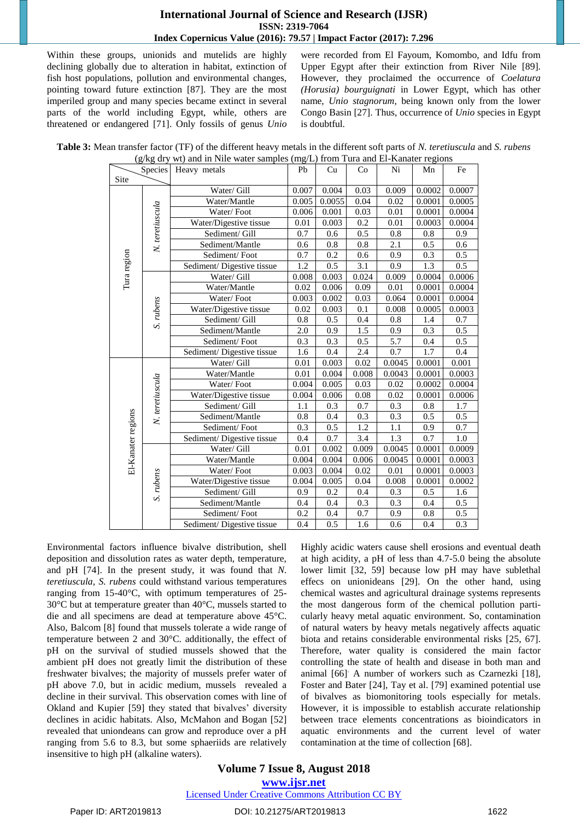Within these groups, unionids and mutelids are highly declining globally due to alteration in habitat, extinction of fish host populations, pollution and environmental changes, pointing toward future extinction [87]. They are the most imperiled group and many species became extinct in several parts of the world including Egypt, while, others are threatened or endangered [71]. Only fossils of genus *Unio*

were recorded from El Fayoum, Komombo, and Idfu from Upper Egypt after their extinction from River Nile [89]. However, they proclaimed the occurrence of *Coelatura (Horusia) bourguignati* in Lower Egypt, which has other name, *Unio stagnorum*, being known only from the lower Congo Basin [27]. Thus, occurrence of *Unio* species in Egypt is doubtful.

| Table 3: Mean transfer factor (TF) of the different heavy metals in the different soft parts of N. teretiuscula and S. rubens |
|-------------------------------------------------------------------------------------------------------------------------------|
| $(g/kg$ dry wt) and in Nile water samples (mg/L) from Tura and El-Kanater regions                                             |

|                    | (g/kg dry wt) and in ivite water samples (mg/L) from Tura and El-Kanater regions |                            |       |        |       |        |        |        |  |
|--------------------|----------------------------------------------------------------------------------|----------------------------|-------|--------|-------|--------|--------|--------|--|
|                    | <b>Species</b>                                                                   | Heavy metals               | Pb    | Cu     | Co    | Ni     | Mn     | Fe     |  |
| Site               |                                                                                  |                            |       |        |       |        |        |        |  |
|                    |                                                                                  | Water/ Gill                | 0.007 | 0.004  | 0.03  | 0.009  | 0.0002 | 0.0007 |  |
|                    |                                                                                  | Water/Mantle               | 0.005 | 0.0055 | 0.04  | 0.02   | 0.0001 | 0.0005 |  |
|                    | N. teretiuscula                                                                  | Water/Foot                 | 0.006 | 0.001  | 0.03  | 0.01   | 0.0001 | 0.0004 |  |
|                    |                                                                                  | Water/Digestive tissue     | 0.01  | 0.003  | 0.2   | 0.01   | 0.0003 | 0.0004 |  |
|                    |                                                                                  | Sediment/ Gill             | 0.7   | 0.6    | 0.5   | 0.8    | 0.8    | 0.9    |  |
|                    |                                                                                  | Sediment/Mantle            | 0.6   | 0.8    | 0.8   | 2.1    | 0.5    | 0.6    |  |
|                    |                                                                                  | Sediment/Foot              | 0.7   | 0.2    | 0.6   | 0.9    | 0.3    | 0.5    |  |
|                    |                                                                                  | Sediment/Digestive tissue  | 1.2   | 0.5    | 3.1   | 0.9    | 1.3    | 0.5    |  |
| Tura region        |                                                                                  | Water/ Gill                | 0.008 | 0.003  | 0.024 | 0.009  | 0.0004 | 0.0006 |  |
|                    |                                                                                  | Water/Mantle               | 0.02  | 0.006  | 0.09  | 0.01   | 0.0001 | 0.0004 |  |
|                    |                                                                                  | Water/Foot                 | 0.003 | 0.002  | 0.03  | 0.064  | 0.0001 | 0.0004 |  |
|                    |                                                                                  | Water/Digestive tissue     | 0.02  | 0.003  | 0.1   | 0.008  | 0.0005 | 0.0003 |  |
|                    | S. rubens                                                                        | Sediment/ Gill             | 0.8   | 0.5    | 0.4   | 0.8    | 1.4    | 0.7    |  |
|                    |                                                                                  | Sediment/Mantle            | 2.0   | 0.9    | 1.5   | 0.9    | 0.3    | 0.5    |  |
|                    |                                                                                  | Sediment/Foot              | 0.3   | 0.3    | 0.5   | 5.7    | 0.4    | 0.5    |  |
|                    |                                                                                  | Sediment/ Digestive tissue | 1.6   | 0.4    | 2.4   | 0.7    | 1.7    | 0.4    |  |
|                    |                                                                                  | Water/ Gill                | 0.01  | 0.003  | 0.02  | 0.0045 | 0.0001 | 0.001  |  |
|                    | N. teretiuscula                                                                  | Water/Mantle               | 0.01  | 0.004  | 0.008 | 0.0043 | 0.0001 | 0.0003 |  |
|                    |                                                                                  | Water/Foot                 | 0.004 | 0.005  | 0.03  | 0.02   | 0.0002 | 0.0004 |  |
|                    |                                                                                  | Water/Digestive tissue     | 0.004 | 0.006  | 0.08  | 0.02   | 0.0001 | 0.0006 |  |
|                    |                                                                                  | Sediment/ Gill             | 1.1   | 0.3    | 0.7   | 0.3    | 0.8    | 1.7    |  |
|                    |                                                                                  | Sediment/Mantle            | 0.8   | 0.4    | 0.3   | 0.3    | 0.5    | 0.5    |  |
|                    |                                                                                  | Sediment/Foot              | 0.3   | 0.5    | 1.2   | 1.1    | 0.9    | 0.7    |  |
|                    |                                                                                  | Sediment/Digestive tissue  | 0.4   | 0.7    | 3.4   | 1.3    | 0.7    | 1.0    |  |
|                    |                                                                                  | Water/ Gill                | 0.01  | 0.002  | 0.009 | 0.0045 | 0.0001 | 0.0009 |  |
| El-Kanater regions |                                                                                  | Water/Mantle               | 0.004 | 0.004  | 0.006 | 0.0045 | 0.0001 | 0.0003 |  |
|                    |                                                                                  | Water/Foot                 | 0.003 | 0.004  | 0.02  | 0.01   | 0.0001 | 0.0003 |  |
|                    | S. rubens                                                                        | Water/Digestive tissue     | 0.004 | 0.005  | 0.04  | 0.008  | 0.0001 | 0.0002 |  |
|                    |                                                                                  | Sediment/ Gill             | 0.9   | 0.2    | 0.4   | 0.3    | 0.5    | 1.6    |  |
|                    |                                                                                  | Sediment/Mantle            | 0.4   | 0.4    | 0.3   | 0.3    | 0.4    | 0.5    |  |
|                    |                                                                                  | Sediment/Foot              | 0.2   | 0.4    | 0.7   | 0.9    | 0.8    | 0.5    |  |
|                    |                                                                                  | Sediment/Digestive tissue  | 0.4   | 0.5    | 1.6   | 0.6    | 0.4    | 0.3    |  |
|                    |                                                                                  |                            |       |        |       |        |        |        |  |

Environmental factors influence bivalve distribution, shell deposition and dissolution rates as water depth, temperature, and pH [74]. In the present study, it was found that *N. teretiuscula, S. rubens* could withstand various temperatures ranging from 15-40°C, with optimum temperatures of 25- 30°C but at temperature greater than 40°C, mussels started to die and all specimens are dead at temperature above 45°C. Also, Balcom [8] found that mussels tolerate a wide range of temperature between 2 and 30°C. additionally, the effect of pH on the survival of studied mussels showed that the ambient pH does not greatly limit the distribution of these freshwater bivalves; the majority of mussels prefer water of pH above 7.0, but in acidic medium, mussels revealed a decline in their survival. This observation comes with line of Okland and Kupier [59] they stated that bivalves' diversity declines in acidic habitats. Also, McMahon and Bogan [52] revealed that uniondeans can grow and reproduce over a pH ranging from 5.6 to 8.3, but some sphaeriids are relatively insensitive to high pH (alkaline waters).

Highly acidic waters cause shell erosions and eventual death at high acidity, a pH of less than 4.7-5.0 being the absolute lower limit [32, 59] because low pH may have sublethal effecs on unionideans [29]. On the other hand, using chemical wastes and agricultural drainage systems represents the most dangerous form of the chemical pollution particularly heavy metal aquatic environment. So, contamination of natural waters by heavy metals negatively affects aquatic biota and retains considerable environmental risks [25, 67]. Therefore, water quality is considered the main factor controlling the state of health and disease in both man and animal [66]. A number of workers such as Czarnezki [18], Foster and Bater [24], Tay et al. [79] examined potential use of bivalves as biomonitoring tools especially for metals. However, it is impossible to establish accurate relationship between trace elements concentrations as bioindicators in aquatic environments and the current level of water contamination at the time of collection [68].

## **Volume 7 Issue 8, August 2018**

**www.ijsr.net**

Licensed Under Creative Commons Attribution CC BY

Paper ID: ART2019813 DOI: 10.21275/ART2019813 1622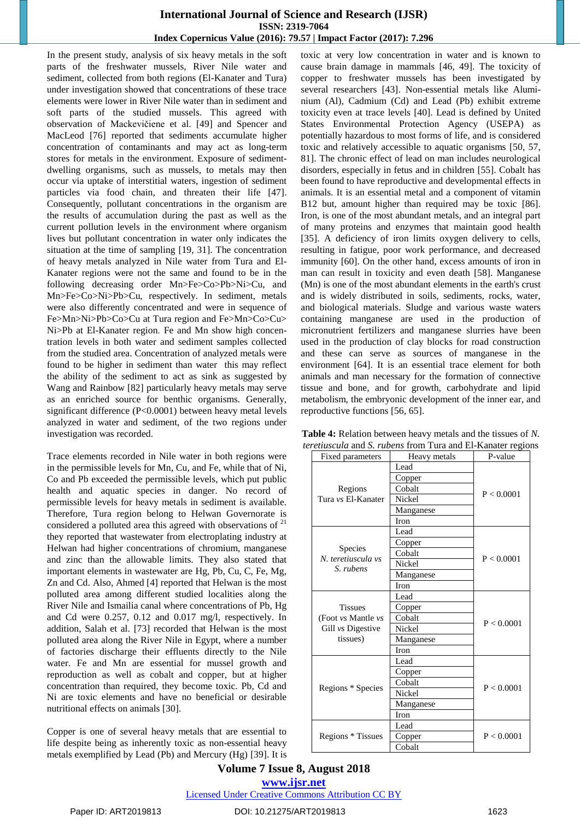In the present study, analysis of six heavy metals in the soft parts of the freshwater mussels, River Nile water and sediment, collected from both regions (El-Kanater and Tura) under investigation showed that concentrations of these trace elements were lower in River Nile water than in sediment and soft parts of the studied mussels. This agreed with observation of Mackevičiene et al. [49] and Spencer and MacLeod [76] reported that sediments accumulate higher concentration of contaminants and may act as long-term stores for metals in the environment. Exposure of sedimentdwelling organisms, such as mussels, to metals may then occur via uptake of interstitial waters, ingestion of sediment particles via food chain, and threaten their life [47]. Consequently, pollutant concentrations in the organism are the results of accumulation during the past as well as the current pollution levels in the environment where organism lives but pollutant concentration in water only indicates the situation at the time of sampling [19, 31]. The concentration of heavy metals analyzed in Nile water from Tura and El-Kanater regions were not the same and found to be in the following decreasing order Mn>Fe>Co>Pb>Ni>Cu, and Mn>Fe>Co>Ni>Pb>Cu, respectively. In sediment, metals were also differently concentrated and were in sequence of Fe>Mn>Ni>Pb>Co>Cu at Tura region and Fe>Mn>Co>Cu> Ni>Pb at El-Kanater region. Fe and Mn show high concentration levels in both water and sediment samples collected from the studied area. Concentration of analyzed metals were found to be higher in sediment than water this may reflect the ability of the sediment to act as sink as suggested by Wang and Rainbow [82] particularly heavy metals may serve as an enriched source for benthic organisms. Generally, significant difference (P<0.0001) between heavy metal levels analyzed in water and sediment, of the two regions under investigation was recorded.

Trace elements recorded in Nile water in both regions were in the permissible levels for Mn, Cu, and Fe, while that of Ni, Co and Pb exceeded the permissible levels, which put public health and aquatic species in danger. No record of permissible levels for heavy metals in sediment is available. Therefore, Tura region belong to Helwan Governorate is considered a polluted area this agreed with observations of <sup>21</sup> they reported that wastewater from electroplating industry at Helwan had higher concentrations of chromium, manganese and zinc than the allowable limits. They also stated that important elements in wastewater are Hg, Pb, Cu, C, Fe, Mg, Zn and Cd. Also, Ahmed [4] reported that Helwan is the most polluted area among different studied localities along the River Nile and Ismailia canal where concentrations of Pb, Hg and Cd were 0.257, 0.12 and 0.017 mg/l, respectively. In addition, Salah et al. [73] recorded that Helwan is the most polluted area along the River Nile in Egypt, where a number of factories discharge their effluents directly to the Nile water. Fe and Mn are essential for mussel growth and reproduction as well as cobalt and copper, but at higher concentration than required, they become toxic. Pb, Cd and Ni are toxic elements and have no beneficial or desirable nutritional effects on animals [30].

Copper is one of several heavy metals that are essential to life despite being as inherently toxic as non-essential heavy metals exemplified by Lead (Pb) and Mercury (Hg) [39]. It is toxic at very low concentration in water and is known to cause brain damage in mammals [46, 49]. The toxicity of copper to freshwater mussels has been investigated by several researchers [43]. Non-essential metals like Aluminium (Al), Cadmium (Cd) and Lead (Pb) exhibit extreme toxicity even at trace levels [40]. Lead is defined by United States Environmental Protection Agency (USEPA) as potentially hazardous to most forms of life, and is considered toxic and relatively accessible to aquatic organisms [50, 57, 81]. The chronic effect of lead on man includes neurological disorders, especially in fetus and in children [55]. Cobalt has been found to have reproductive and developmental effects in animals. It is an essential metal and a component of vitamin B12 but, amount higher than required may be toxic [86]. Iron, is one of the most abundant metals, and an integral part of many proteins and enzymes that maintain good health [35]. A deficiency of iron limits oxygen delivery to cells, resulting in fatigue, poor work performance, and decreased immunity [60]. On the other hand, excess amounts of iron in man can result in toxicity and even death [58]. Manganese (Mn) is one of the most abundant elements in the earth's crust and is widely distributed in soils, sediments, rocks, water, and biological materials. Sludge and various waste waters containing manganese are used in the production of micronutrient fertilizers and manganese slurries have been used in the production of clay blocks for road construction and these can serve as sources of manganese in the environment [64]. It is an essential trace element for both animals and man necessary for the formation of connective tissue and bone, and for growth, carbohydrate and lipid metabolism, the embryonic development of the inner ear, and reproductive functions [56, 65].

| Fixed parameters                     | Heavy metals         | P-value    |  |  |
|--------------------------------------|----------------------|------------|--|--|
|                                      | Lead                 |            |  |  |
|                                      | Copper               |            |  |  |
| Regions                              | Cobalt               | P < 0.0001 |  |  |
| Tura vs El-Kanater                   | Nickel               |            |  |  |
|                                      | Manganese            |            |  |  |
|                                      | <b>Iron</b>          |            |  |  |
|                                      | Lead                 |            |  |  |
|                                      | Copper               |            |  |  |
| <b>Species</b><br>N. teretiuscula vs | Cobalt               | P < 0.0001 |  |  |
| S. rubens                            | Nickel               |            |  |  |
|                                      | Manganese            |            |  |  |
|                                      | <b>Iron</b>          |            |  |  |
|                                      | Lead                 |            |  |  |
| <b>Tissues</b>                       | Copper               |            |  |  |
| (Foot vs Mantle vs                   | Cobalt               | P < 0.0001 |  |  |
| Gill vs Digestive                    | Nickel               |            |  |  |
| tissues)                             | Manganese            |            |  |  |
|                                      | <b>Iron</b>          |            |  |  |
|                                      | Lead                 |            |  |  |
|                                      | Copper               |            |  |  |
| Regions * Species                    | Cobalt               | P < 0.0001 |  |  |
|                                      | Nickel               |            |  |  |
|                                      | Manganese            |            |  |  |
|                                      | <b>Iron</b>          |            |  |  |
|                                      | Lead                 |            |  |  |
| Regions * Tissues                    | P < 0.0001<br>Copper |            |  |  |
|                                      | Cobalt               |            |  |  |

**Table 4:** Relation between heavy metals and the tissues of *N. teretiuscula* and *S. rubens* from Tura and El-Kanater regions

**Volume 7 Issue 8, August 2018**

## **www.ijsr.net**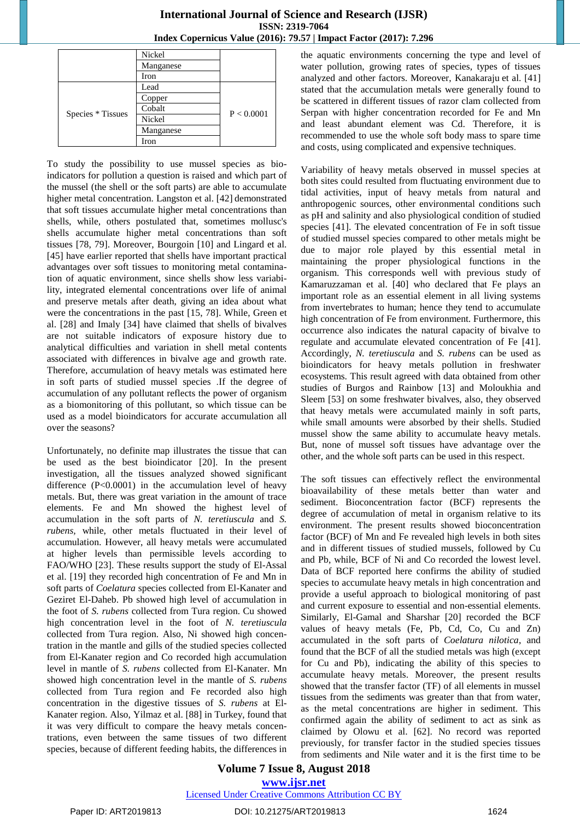|                   | Nickel    |            |  |  |
|-------------------|-----------|------------|--|--|
|                   | Manganese |            |  |  |
|                   | Iron      |            |  |  |
|                   | Lead      |            |  |  |
|                   | Copper    |            |  |  |
|                   | Cobalt    | P < 0.0001 |  |  |
| Species * Tissues | Nickel    |            |  |  |
|                   | Manganese |            |  |  |
|                   | Iron      |            |  |  |

To study the possibility to use mussel species as bioindicators for pollution a question is raised and which part of the mussel (the shell or the soft parts) are able to accumulate higher metal concentration. Langston et al. [42] demonstrated that soft tissues accumulate higher metal concentrations than shells, while, others postulated that, sometimes mollusc's shells accumulate higher metal concentrations than soft tissues [78, 79]. Moreover, Bourgoin [10] and Lingard et al. [45] have earlier reported that shells have important practical advantages over soft tissues to monitoring metal contamination of aquatic environment, since shells show less variability, integrated elemental concentrations over life of animal and preserve metals after death, giving an idea about what were the concentrations in the past [15, 78]. While, Green et al. [28] and Imaly [34] have claimed that shells of bivalves are not suitable indicators of exposure history due to analytical difficulties and variation in shell metal contents associated with differences in bivalve age and growth rate. Therefore, accumulation of heavy metals was estimated here in soft parts of studied mussel species .If the degree of accumulation of any pollutant reflects the power of organism as a biomonitoring of this pollutant, so which tissue can be used as a model bioindicators for accurate accumulation all over the seasons?

Unfortunately, no definite map illustrates the tissue that can be used as the best bioindicator [20]. In the present investigation, all the tissues analyzed showed significant difference (P<0.0001) in the accumulation level of heavy metals. But, there was great variation in the amount of trace elements. Fe and Mn showed the highest level of accumulation in the soft parts of *N. teretiuscula* and *S. rubens,* while, other metals fluctuated in their level of accumulation. However, all heavy metals were accumulated at higher levels than permissible levels according to FAO/WHO [23]. These results support the study of El-Assal et al. [19] they recorded high concentration of Fe and Mn in soft parts of *Coelatura* species collected from El-Kanater and Geziret El-Daheb. Pb showed high level of accumulation in the foot of *S. rubens* collected from Tura region. Cu showed high concentration level in the foot of *N. teretiuscula* collected from Tura region. Also, Ni showed high concentration in the mantle and gills of the studied species collected from El-Kanater region and Co recorded high accumulation level in mantle of *S. rubens* collected from El-Kanater. Mn showed high concentration level in the mantle of *S. rubens* collected from Tura region and Fe recorded also high concentration in the digestive tissues of *S. rubens* at El-Kanater region. Also, Yilmaz et al. [88] in Turkey, found that it was very difficult to compare the heavy metals concentrations, even between the same tissues of two different species, because of different feeding habits, the differences in

the aquatic environments concerning the type and level of water pollution, growing rates of species, types of tissues analyzed and other factors. Moreover, Kanakaraju et al. [41] stated that the accumulation metals were generally found to be scattered in different tissues of razor clam collected from Serpan with higher concentration recorded for Fe and Mn and least abundant element was Cd. Therefore, it is recommended to use the whole soft body mass to spare time and costs, using complicated and expensive techniques.

Variability of heavy metals observed in mussel species at both sites could resulted from fluctuating environment due to tidal activities, input of heavy metals from natural and anthropogenic sources, other environmental conditions such as pH and salinity and also physiological condition of studied species [41]. The elevated concentration of Fe in soft tissue of studied mussel species compared to other metals might be due to major role played by this essential metal in maintaining the proper physiological functions in the organism. This corresponds well with previous study of Kamaruzzaman et al. [40] who declared that Fe plays an important role as an essential element in all living systems from invertebrates to human; hence they tend to accumulate high concentration of Fe from environment. Furthermore, this occurrence also indicates the natural capacity of bivalve to regulate and accumulate elevated concentration of Fe [41]. Accordingly, *N. teretiuscula* and *S. rubens* can be used as bioindicators for heavy metals pollution in freshwater ecosystems. This result agreed with data obtained from other studies of Burgos and Rainbow [13] and Moloukhia and Sleem [53] on some freshwater bivalves, also, they observed that heavy metals were accumulated mainly in soft parts, while small amounts were absorbed by their shells. Studied mussel show the same ability to accumulate heavy metals. But, none of mussel soft tissues have advantage over the other, and the whole soft parts can be used in this respect.

The soft tissues can effectively reflect the environmental bioavailability of these metals better than water and sediment. Bioconcentration factor (BCF) represents the degree of accumulation of metal in organism relative to its environment. The present results showed bioconcentration factor (BCF) of Mn and Fe revealed high levels in both sites and in different tissues of studied mussels, followed by Cu and Pb, while, BCF of Ni and Co recorded the lowest level. Data of BCF reported here confirms the ability of studied species to accumulate heavy metals in high concentration and provide a useful approach to biological monitoring of past and current exposure to essential and non-essential elements. Similarly, El-Gamal and Sharshar [20] recorded the BCF values of heavy metals (Fe, Pb, Cd, Co, Cu and Zn) accumulated in the soft parts of *Coelatura nilotica*, and found that the BCF of all the studied metals was high (except for Cu and Pb), indicating the ability of this species to accumulate heavy metals. Moreover, the present results showed that the transfer factor (TF) of all elements in mussel tissues from the sediments was greater than that from water, as the metal concentrations are higher in sediment. This confirmed again the ability of sediment to act as sink as claimed by Olowu et al. [62]. No record was reported previously, for transfer factor in the studied species tissues from sediments and Nile water and it is the first time to be

## **Volume 7 Issue 8, August 2018**

**www.ijsr.net** Licensed Under Creative Commons Attribution CC BY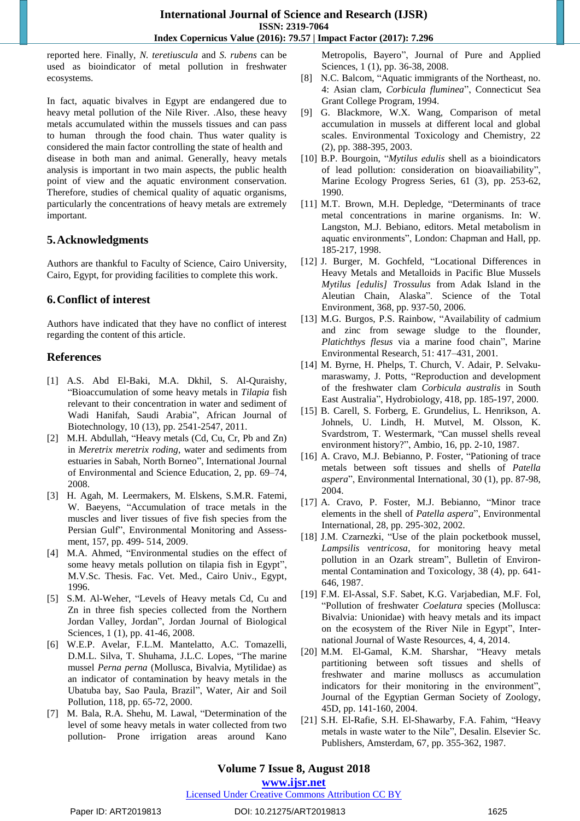reported here. Finally, *N. teretiuscula* and *S. rubens* can be used as bioindicator of metal pollution in freshwater ecosystems.

In fact, aquatic bivalves in Egypt are endangered due to heavy metal pollution of the Nile River. .Also, these heavy metals accumulated within the mussels tissues and can pass to human through the food chain. Thus water quality is considered the main factor controlling the state of health and disease in both man and animal. Generally, heavy metals analysis is important in two main aspects, the public health point of view and the aquatic environment conservation. Therefore, studies of chemical quality of aquatic organisms, particularly the concentrations of heavy metals are extremely important.

## **5.Acknowledgments**

Authors are thankful to Faculty of Science, Cairo University, Cairo, Egypt, for providing facilities to complete this work.

## **6.Conflict of interest**

Authors have indicated that they have no conflict of interest regarding the content of this article.

## **References**

- [1] A.S. Abd El-Baki, M.A. Dkhil, S. Al-Quraishy, "Bioaccumulation of some heavy metals in *Tilapia* fish relevant to their concentration in water and sediment of Wadi Hanifah, Saudi Arabia", African Journal of Biotechnology, 10 (13), pp. 2541-2547, 2011.
- [2] M.H. Abdullah, "Heavy metals (Cd, Cu, Cr, Pb and Zn) in *Meretrix meretrix roding*, water and sediments from estuaries in Sabah, North Borneo", International Journal of Environmental and Science Education, 2, pp. 69–74, 2008.
- [3] H. Agah, M. Leermakers, M. Elskens, S.M.R. Fatemi, W. Baeyens, "Accumulation of trace metals in the muscles and liver tissues of five fish species from the Persian Gulf", [Environmental Monitoring and Assess](https://link.springer.com/journal/10661)[ment,](https://link.springer.com/journal/10661) 157, pp. 499- 514, 2009.
- [4] M.A. Ahmed, "Environmental studies on the effect of some heavy metals pollution on tilapia fish in Egypt", M.V.Sc. Thesis. Fac. Vet. Med., Cairo Univ., Egypt, 1996.
- [5] S.M. Al-Weher, "Levels of Heavy metals Cd, Cu and Zn in three fish species collected from the Northern Jordan Valley, Jordan", Jordan Journal of Biological Sciences, 1 (1), pp. 41-46, 2008.
- [6] W.E.P. Avelar, F.L.M. Mantelatto, A.C. Tomazelli, D.M.L. Silva, T. Shuhama, J.L.C. Lopes, "The marine mussel *Perna perna* (Mollusca, Bivalvia, Mytilidae) as an indicator of contamination by heavy metals in the Ubatuba bay, Sao Paula, Brazil", Water, Air and Soil Pollution, 118, pp. 65-72, 2000.
- [7] M. Bala, R.A. Shehu, M. Lawal, "Determination of the level of some heavy metals in water collected from two pollution- Prone irrigation areas around Kano

Metropolis, Bayero", Journal of Pure and Applied Sciences, 1 (1), pp. 36-38, 2008.

- [8] N.C. Balcom, "Aquatic immigrants of the Northeast, no. 4: Asian clam, *Corbicula fluminea*", Connecticut Sea Grant College Program, 1994.
- [9] G. Blackmore, W.X. Wang, Comparison of metal accumulation in mussels at different local and global scales. Environmental Toxicology and Chemistry, 22 (2), pp. 388-395, 2003.
- [10] B.P. Bourgoin, "*Mytilus edulis* shell as a bioindicators of lead pollution: consideration on bioavailiability", Marine Ecology Progress Series, 61 (3), pp. 253-62, 1990.
- [11] M.T. Brown, M.H. Depledge, "Determinants of trace metal concentrations in marine organisms. In: W. Langston, M.J. Bebiano, editors. Metal metabolism in aquatic environments", London: Chapman and Hall, pp. 185-217, 1998.
- [12] J. Burger, M. Gochfeld, "Locational Differences in Heavy Metals and Metalloids in Pacific Blue Mussels *Mytilus [edulis] Trossulus* from Adak Island in the Aleutian Chain, Alaska". Science of the Total Environment, 368, pp. 937-50, 2006.
- [13] M.G. Burgos, P.S. Rainbow, "Availability of cadmium and zinc from sewage sludge to the flounder, *Platichthys flesus* via a marine food chain", Marine Environmental Research, 51: 417–431, 2001.
- [14] M. Byrne, H. Phelps, T. Church, V. Adair, P. Selvakumaraswamy, J. Potts, "Reproduction and development of the freshwater clam *Corbicula australis* in South East Australia", Hydrobiology, 418, pp. 185-197, 2000.
- [15] B. Carell, S. Forberg, E. Grundelius, L. Henrikson, A. Johnels, U. Lindh, H. Mutvel, M. Olsson, K. Svardstrom, T. Westermark, "Can mussel shells reveal environment history?", Ambio, 16, pp. 2-10, 1987.
- [16] A. Cravo, M.J. Bebianno, P. Foster, "Pationing of trace metals between soft tissues and shells of *Patella aspera*", Environmental International, 30 (1), pp. 87-98, 2004.
- [17] A. Cravo, P. Foster, M.J. Bebianno, "Minor trace elements in the shell of *Patella aspera*", Environmental International, 28, pp. 295-302, 2002.
- [18] J.M. Czarnezki, "Use of the plain pocketbook mussel, *Lampsilis ventricosa*, for monitoring heavy metal pollution in an Ozark stream", Bulletin of Environmental Contamination and Toxicology, 38 (4), pp. 641- 646, 1987.
- [19] F.M. El-Assal, S.F. Sabet, K.G. Varjabedian, M.F. Fol, "Pollution of freshwater *Coelatura* species (Mollusca: Bivalvia: Unionidae) with heavy metals and its impact on the ecosystem of the River Nile in Egypt", International Journal of Waste Resources, 4, 4, 2014.
- [20] M.M. El-Gamal, K.M. Sharshar, "Heavy metals partitioning between soft tissues and shells of freshwater and marine molluscs as accumulation indicators for their monitoring in the environment", Journal of the Egyptian German Society of Zoology, 45D, pp. 141-160, 2004.
- [21] S.H. El-Rafie, S.H. El-Shawarby, F.A. Fahim, "Heavy metals in waste water to the Nile", Desalin. Elsevier Sc. Publishers, Amsterdam, 67, pp. 355-362, 1987.

## **Volume 7 Issue 8, August 2018**

## **www.ijsr.net**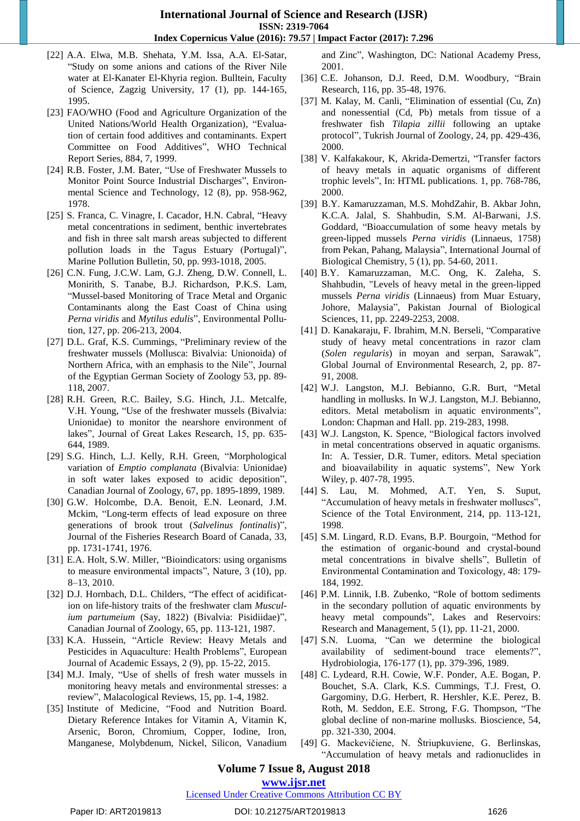- [22] A.A. Elwa, M.B. Shehata, Y.M. Issa, A.A. El-Satar, "Study on some anions and cations of the River Nile water at El-Kanater El-Khyria region. Bulltein, Faculty of Science, Zagzig University, 17 (1), pp. 144-165, 1995.
- [23] FAO/WHO (Food and Agriculture Organization of the United Nations/World Health Organization), "Evaluation of certain food additives and contaminants. Expert Committee on Food Additives", WHO Technical Report Series, 884, 7, 1999.
- [24] R.B. Foster, J.M. Bater, "Use of Freshwater Mussels to Monitor Point Source Industrial Discharges", Environmental Science and Technology, 12 (8), pp. 958-962, 1978.
- [25] S. Franca, C. Vinagre, I. Cacador, H.N. Cabral, "Heavy metal concentrations in sediment, benthic invertebrates and fish in three salt marsh areas subjected to different pollution loads in the Tagus Estuary (Portugal)", Marine Pollution Bulletin, 50, pp. 993-1018, 2005.
- [26] C.N. Fung, J.C.W. Lam, G.J. Zheng, D.W. Connell, L. Monirith, S. Tanabe, B.J. Richardson, P.K.S. Lam, "Mussel-based Monitoring of Trace Metal and Organic Contaminants along the East Coast of China using *Perna viridis* and *Mytilus edulis*", Environmental Pollution, 127, pp. 206-213, 2004.
- [27] D.L. Graf, K.S. Cummings, "Preliminary review of the freshwater mussels (Mollusca: Bivalvia: Unionoida) of Northern Africa, with an emphasis to the Nile", Journal of the Egyptian German Society of Zoology 53, pp. 89- 118, 2007.
- [28] R.H. Green, R.C. Bailey, S.G. Hinch, J.L. Metcalfe, V.H. Young, "Use of the freshwater mussels (Bivalvia: Unionidae) to monitor the nearshore environment of lakes", Journal of Great Lakes Research, 15, pp. 635- 644, 1989.
- [29] S.G. Hinch, L.J. Kelly, R.H. Green, "Morphological variation of *Emptio complanata* (Bivalvia: Unionidae) in soft water lakes exposed to acidic deposition", Canadian Journal of Zoology, 67, pp. 1895-1899, 1989.
- [30] G.W. Holcombe, D.A. Benoit, E.N. Leonard, J.M. Mckim, "Long-term effects of lead exposure on three generations of brook trout (*Salvelinus fontinalis*)", Journal of the Fisheries Research Board of Canada, 33, pp. 1731-1741, 1976.
- [31] E.A. Holt, S.W. Miller, "Bioindicators: using organisms to measure environmental impacts", Nature, 3 (10), pp. 8–13, 2010.
- [32] D.J. Hornbach, D.L. Childers, "The effect of acidification on life-history traits of the freshwater clam *Musculium partumeium* (Say, 1822) (Bivalvia: Pisidiidae)", Canadian Journal of Zoology, 65, pp. 113-121, 1987.
- [33] K.A. Hussein, "Article Review: Heavy Metals and Pesticides in Aquaculture: Health Problems", European Journal of Academic Essays, 2 (9), pp. 15-22, 2015.
- [34] M.J. Imaly, "Use of shells of fresh water mussels in monitoring heavy metals and environmental stresses: a review", Malacological Reviews, 15, pp. 1-4, 1982.
- [35] Institute of Medicine, "Food and Nutrition Board. Dietary Reference Intakes for Vitamin A, Vitamin K, Arsenic, Boron, Chromium, Copper, Iodine, Iron, Manganese, Molybdenum, Nickel, Silicon, Vanadium

and Zinc", Washington, DC: National Academy Press, 2001.

- [36] C.E. Johanson, D.J. Reed, D.M. Woodbury, "Brain Research, 116, pp. 35-48, 1976.
- [37] M. Kalay, M. Canli, "Elimination of essential (Cu, Zn) and nonessential (Cd, Pb) metals from tissue of a freshwater fish *Tilapia zillii* following an uptake protocol", Tukrish Journal of Zoology, 24, pp. 429-436, 2000.
- [38] V. Kalfakakour, K, Akrida-Demertzi, "Transfer factors of heavy metals in aquatic organisms of different trophic levels", In: HTML publications. 1, pp. 768-786, 2000.
- [39] B.Y. Kamaruzzaman, M.S. MohdZahir, B. Akbar John, K.C.A. Jalal, S. Shahbudin, S.M. Al-Barwani, J.S. Goddard, "Bioaccumulation of some heavy metals by green-lipped mussels *Perna viridis* (Linnaeus, 1758) from Pekan, Pahang, Malaysia", International Journal of Biological Chemistry, 5 (1), pp. 54-60, 2011.
- [40] B.Y. Kamaruzzaman, M.C. Ong, K. Zaleha, S. Shahbudin, "Levels of heavy metal in the green-lipped mussels *Perna viridis* (Linnaeus) from Muar Estuary, Johore, Malaysia", Pakistan Journal of Biological Sciences, 11, pp. 2249-2253, 2008.
- [41] D. Kanakaraju, F. Ibrahim, M.N. Berseli, "Comparative study of heavy metal concentrations in razor clam (*Solen regularis*) in moyan and serpan, Sarawak", Global Journal of Environmental Research, 2, pp. 87- 91, 2008.
- [42] W.J. Langston, M.J. Bebianno, G.R. Burt, "Metal handling in mollusks. In W.J. Langston, M.J. Bebianno, editors. Metal metabolism in aquatic environments", London: Chapman and Hall. pp. 219-283, 1998.
- [43] W.J. Langston, K. Spence, "Biological factors involved in metal concentrations observed in aquatic organisms. In: A. Tessier, D.R. Tumer, editors. Metal speciation and bioavailability in aquatic systems", New York Wiley, p. 407-78, 1995.
- [44] S. Lau, M. Mohmed, A.T. Yen, S. Suput, "Accumulation of heavy metals in freshwater molluscs", Science of the Total Environment, 214, pp. 113-121, 1998.
- [45] S.M. Lingard, R.D. Evans, B.P. Bourgoin, "Method for the estimation of organic-bound and crystal-bound metal concentrations in bivalve shells", Bulletin of Environmental Contamination and Toxicology, 48: 179- 184, 1992.
- [46] P.M. Linnik, I.B. Zubenko, "Role of bottom sediments in the secondary pollution of aquatic environments by heavy metal compounds", Lakes and Reservoirs: Research and Management, 5 (1), pp. 11-21, 2000.
- [47] S.N. Luoma, "Can we determine the biological availability of sediment-bound trace elements?", Hydrobiologia, 176-177 (1), pp. 379-396, 1989.
- [48] C. Lydeard, R.H. Cowie, W.F. Ponder, A.E. Bogan, P. Bouchet, S.A. Clark, K.S. Cummings, T.J. Frest, O. Gargominy, D.G. Herbert, R. Hershler, K.E. Perez, B. Roth, M. Seddon, E.E. Strong, F.G. Thompson, "The global decline of non-marine mollusks. Bioscience, 54, pp. 321-330, 2004.
- [49] G. Mackevičiene, N. Štriupkuviene, G. Berlinskas, "Accumulation of heavy metals and radionuclides in

## **Volume 7 Issue 8, August 2018**

## **www.ijsr.net**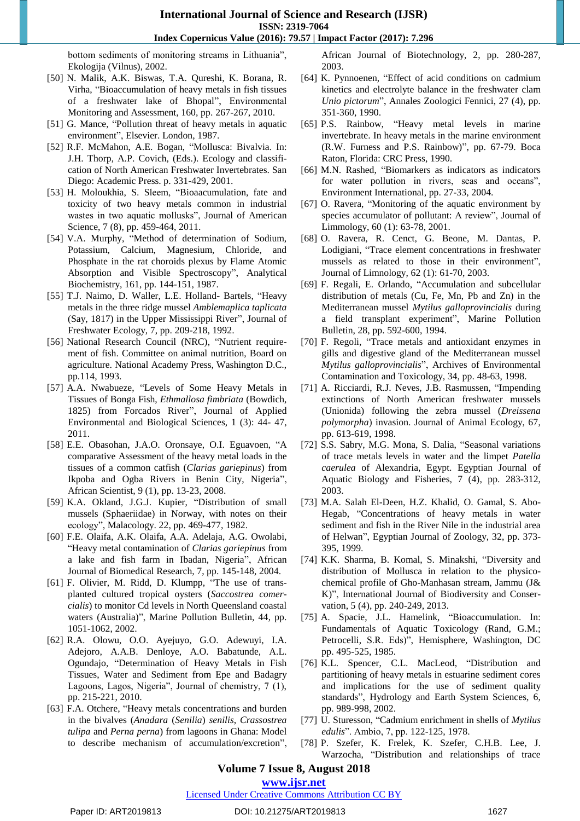bottom sediments of monitoring streams in Lithuania", Ekologija (Vilnus), 2002.

- [50] N. Malik, A.K. Biswas, T.A. Qureshi, K. Borana, R. Virha, "Bioaccumulation of heavy metals in fish tissues of a freshwater lake of Bhopal", Environmental Monitoring and Assessment, 160, pp. 267-267, 2010.
- [51] G. Mance, "Pollution threat of heavy metals in aquatic environment", Elsevier. London, 1987.
- [52] R.F. McMahon, A.E. Bogan, "Mollusca: Bivalvia. In: J.H. Thorp, A.P. Covich, (Eds.). Ecology and classification of North American Freshwater Invertebrates. San Diego: Academic Press. p. 331-429, 2001.
- [53] H. Moloukhia, S. Sleem, "Bioaacumulation, fate and toxicity of two heavy metals common in industrial wastes in two aquatic mollusks", Journal of American Science, 7 (8), pp. 459-464, 2011.
- [54] V.A. Murphy, "Method of determination of Sodium, Potassium, Calcium, Magnesium, Chloride, and Phosphate in the rat choroids plexus by Flame Atomic Absorption and Visible Spectroscopy", Analytical Biochemistry, 161, pp. 144-151, 1987.
- [55] T.J. Naimo, D. Waller, L.E. Holland- Bartels, "Heavy metals in the three ridge mussel *Amblemaplica taplicata* (Say, 1817) in the Upper Mississippi River", Journal of Freshwater Ecology, 7, pp. 209-218, 1992.
- [56] National Research Council (NRC), "Nutrient requirement of fish. Committee on animal nutrition, Board on agriculture. National Academy Press, Washington D.C., pp.114, 1993.
- [57] A.A. Nwabueze, "Levels of Some Heavy Metals in Tissues of Bonga Fish, *Ethmallosa fimbriata* (Bowdich, 1825) from Forcados River", Journal of Applied Environmental and Biological Sciences, 1 (3): 44- 47, 2011.
- [58] E.E. Obasohan, J.A.O. Oronsaye, O.I. Eguavoen, "A comparative Assessment of the heavy metal loads in the tissues of a common catfish (*Clarias gariepinus*) from Ikpoba and Ogba Rivers in Benin City, Nigeria", African Scientist, 9 (1), pp. 13-23, 2008.
- [59] K.A. Okland, J.G.J. Kupier, "Distribution of small mussels (Sphaeriidae) in Norway, with notes on their ecology", Malacology. 22, pp. 469-477, 1982.
- [60] F.E. Olaifa, A.K. Olaifa, A.A. Adelaja, A.G. Owolabi, "Heavy metal contamination of *Clarias gariepinus* from a lake and fish farm in Ibadan, Nigeria", African Journal of Biomedical Research, 7, pp. 145-148, 2004.
- [61] F. Olivier, M. Ridd, D. Klumpp, "The use of transplanted cultured tropical oysters (*Saccostrea comercialis*) to monitor Cd levels in North Queensland coastal waters (Australia)", Marine Pollution Bulletin, 44, pp. 1051-1062, 2002.
- [62] R.A. Olowu, O.O. Ayejuyo, G.O. Adewuyi, I.A. Adejoro, A.A.B. Denloye, A.O. Babatunde, A.L. Ogundajo, "Determination of Heavy Metals in Fish Tissues, Water and Sediment from Epe and Badagry Lagoons, Lagos, Nigeria", Journal of chemistry, 7 (1), pp. 215-221, 2010.
- [63] F.A. Otchere, "Heavy metals concentrations and burden in the bivalves (*Anadara* (*Senilia*) *senilis*, *Crassostrea tulipa* and *Perna perna*) from lagoons in Ghana: Model to describe mechanism of accumulation/excretion",

African Journal of Biotechnology, 2, pp. 280-287, 2003.

- [64] K. Pynnoenen, "Effect of acid conditions on cadmium kinetics and electrolyte balance in the freshwater clam *Unio pictorum*", Annales Zoologici Fennici, 27 (4), pp. 351-360, 1990.
- [65] P.S. Rainbow, "Heavy metal levels in marine invertebrate. In heavy metals in the marine environment (R.W. Furness and P.S. Rainbow)", pp. 67-79. Boca Raton, Florida: CRC Press, 1990.
- [66] M.N. Rashed, "Biomarkers as indicators as indicators for water pollution in rivers, seas and oceans", Environment International, pp. 27-33, 2004.
- [67] O. Ravera, "Monitoring of the aquatic environment by species accumulator of pollutant: A review", Journal of Limmology, 60 (1): 63-78, 2001.
- [68] O. Ravera, R. Cenct, G. Beone, M. Dantas, P. Lodigiani, "Trace element concentrations in freshwater mussels as related to those in their environment", Journal of Limnology, 62 (1): 61-70, 2003.
- [69] F. Regali, E. Orlando, "Accumulation and subcellular distribution of metals (Cu, Fe, Mn, Pb and Zn) in the Mediterranean mussel *Mytilus galloprovincialis* during a field transplant experiment", Marine Pollution Bulletin, 28, pp. 592-600, 1994.
- [70] F. Regoli, "Trace metals and antioxidant enzymes in gills and digestive gland of the Mediterranean mussel *Mytilus galloprovincialis*", Archives of Environmental Contamination and Toxicology, 34, pp. 48-63, 1998.
- [71] A. Ricciardi, R.J. Neves, J.B. Rasmussen, "Impending extinctions of North American freshwater mussels (Unionida) following the zebra mussel (*Dreissena polymorpha*) invasion. Journal of Animal Ecology, 67, pp. 613-619, 1998.
- [72] S.S. Sabry, M.G. Mona, S. Dalia, "Seasonal variations of trace metals levels in water and the limpet *Patella caerulea* of Alexandria, Egypt. Egyptian Journal of Aquatic Biology and Fisheries, 7 (4), pp. 283-312, 2003.
- [73] M.A. Salah El-Deen, H.Z. Khalid, O. Gamal, S. Abo-Hegab, "Concentrations of heavy metals in water sediment and fish in the River Nile in the industrial area of Helwan", Egyptian Journal of Zoology, 32, pp. 373- 395, 1999.
- [74] K.K. Sharma, B. Komal, S. Minakshi, "Diversity and distribution of Mollusca in relation to the physicochemical profile of Gho-Manhasan stream, Jammu (J& K)", International Journal of Biodiversity and Conservation, 5 (4), pp. 240-249, 2013.
- [75] A. Spacie, J.L. Hamelink, "Bioaccumulation. In: Fundamentals of Aquatic Toxicology (Rand, G.M.; Petrocelli, S.R. Eds)", Hemisphere, Washington, DC pp. 495-525, 1985.
- [76] K.L. Spencer, C.L. MacLeod, "Distribution and partitioning of heavy metals in estuarine sediment cores and implications for the use of sediment quality standards", Hydrology and Earth System Sciences, 6, pp. 989-998, 2002.
- [77] U. Sturesson, "Cadmium enrichment in shells of *Mytilus edulis*". Ambio, 7, pp. 122-125, 1978.
- [78] P. Szefer, K. Frelek, K. Szefer, C.H.B. Lee, J. Warzocha, "Distribution and relationships of trace

## **Volume 7 Issue 8, August 2018**

**www.ijsr.net**